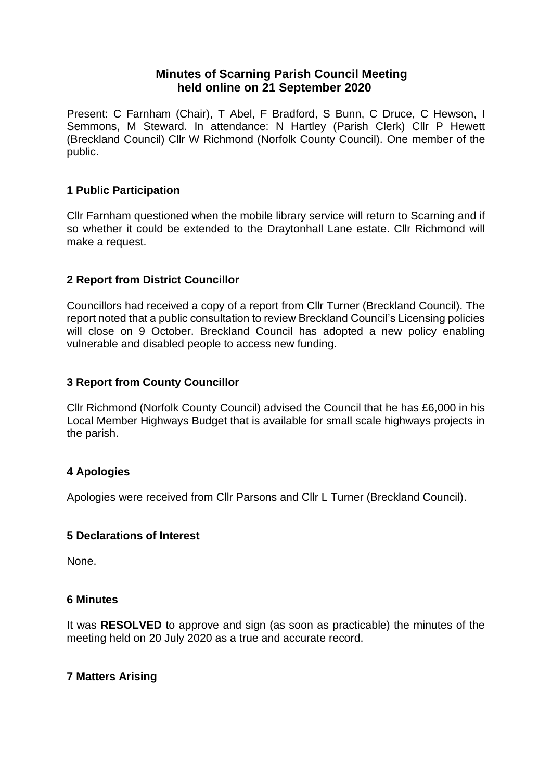# **Minutes of Scarning Parish Council Meeting held online on 21 September 2020**

Present: C Farnham (Chair), T Abel, F Bradford, S Bunn, C Druce, C Hewson, I Semmons, M Steward. In attendance: N Hartley (Parish Clerk) Cllr P Hewett (Breckland Council) Cllr W Richmond (Norfolk County Council). One member of the public.

## **1 Public Participation**

Cllr Farnham questioned when the mobile library service will return to Scarning and if so whether it could be extended to the Draytonhall Lane estate. Cllr Richmond will make a request.

## **2 Report from District Councillor**

Councillors had received a copy of a report from Cllr Turner (Breckland Council). The report noted that a public consultation to review Breckland Council's Licensing policies will close on 9 October. Breckland Council has adopted a new policy enabling vulnerable and disabled people to access new funding.

## **3 Report from County Councillor**

Cllr Richmond (Norfolk County Council) advised the Council that he has £6,000 in his Local Member Highways Budget that is available for small scale highways projects in the parish.

## **4 Apologies**

Apologies were received from Cllr Parsons and Cllr L Turner (Breckland Council).

## **5 Declarations of Interest**

None.

#### **6 Minutes**

It was **RESOLVED** to approve and sign (as soon as practicable) the minutes of the meeting held on 20 July 2020 as a true and accurate record.

## **7 Matters Arising**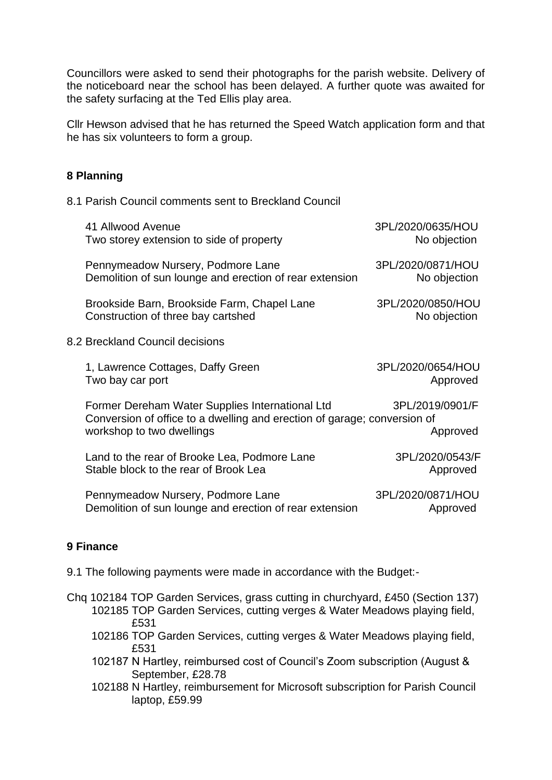Councillors were asked to send their photographs for the parish website. Delivery of the noticeboard near the school has been delayed. A further quote was awaited for the safety surfacing at the Ted Ellis play area.

Cllr Hewson advised that he has returned the Speed Watch application form and that he has six volunteers to form a group.

## **8 Planning**

8.1 Parish Council comments sent to Breckland Council

|                                 | 41 Allwood Avenue<br>Two storey extension to side of property                                                                                            | 3PL/2020/0635/HOU<br>No objection |
|---------------------------------|----------------------------------------------------------------------------------------------------------------------------------------------------------|-----------------------------------|
|                                 | Pennymeadow Nursery, Podmore Lane<br>Demolition of sun lounge and erection of rear extension                                                             | 3PL/2020/0871/HOU<br>No objection |
|                                 | Brookside Barn, Brookside Farm, Chapel Lane<br>Construction of three bay cartshed                                                                        | 3PL/2020/0850/HOU<br>No objection |
| 8.2 Breckland Council decisions |                                                                                                                                                          |                                   |
|                                 | 1, Lawrence Cottages, Daffy Green<br>Two bay car port                                                                                                    | 3PL/2020/0654/HOU<br>Approved     |
|                                 | Former Dereham Water Supplies International Ltd<br>Conversion of office to a dwelling and erection of garage; conversion of<br>workshop to two dwellings | 3PL/2019/0901/F<br>Approved       |
|                                 | Land to the rear of Brooke Lea, Podmore Lane<br>Stable block to the rear of Brook Lea                                                                    | 3PL/2020/0543/F<br>Approved       |
|                                 | Pennymeadow Nursery, Podmore Lane<br>Demolition of sun lounge and erection of rear extension                                                             | 3PL/2020/0871/HOU<br>Approved     |
|                                 |                                                                                                                                                          |                                   |

# **9 Finance**

9.1 The following payments were made in accordance with the Budget:-

- Chq 102184 TOP Garden Services, grass cutting in churchyard, £450 (Section 137) 102185 TOP Garden Services, cutting verges & Water Meadows playing field, £531
	- 102186 TOP Garden Services, cutting verges & Water Meadows playing field, £531
	- 102187 N Hartley, reimbursed cost of Council's Zoom subscription (August & September, £28.78
	- 102188 N Hartley, reimbursement for Microsoft subscription for Parish Council laptop, £59.99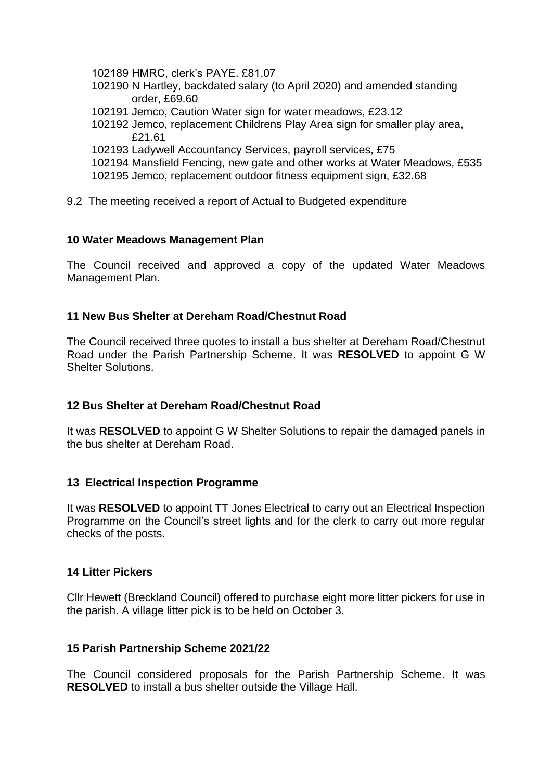102189 HMRC, clerk's PAYE. £81.07

- 102190 N Hartley, backdated salary (to April 2020) and amended standing order, £69.60
- 102191 Jemco, Caution Water sign for water meadows, £23.12
- 102192 Jemco, replacement Childrens Play Area sign for smaller play area, £21.61
- 102193 Ladywell Accountancy Services, payroll services, £75
- 102194 Mansfield Fencing, new gate and other works at Water Meadows, £535 102195 Jemco, replacement outdoor fitness equipment sign, £32.68
- 9.2 The meeting received a report of Actual to Budgeted expenditure

## **10 Water Meadows Management Plan**

The Council received and approved a copy of the updated Water Meadows Management Plan.

## **11 New Bus Shelter at Dereham Road/Chestnut Road**

The Council received three quotes to install a bus shelter at Dereham Road/Chestnut Road under the Parish Partnership Scheme. It was **RESOLVED** to appoint G W Shelter Solutions.

## **12 Bus Shelter at Dereham Road/Chestnut Road**

It was **RESOLVED** to appoint G W Shelter Solutions to repair the damaged panels in the bus shelter at Dereham Road.

## **13 Electrical Inspection Programme**

It was **RESOLVED** to appoint TT Jones Electrical to carry out an Electrical Inspection Programme on the Council's street lights and for the clerk to carry out more regular checks of the posts.

## **14 Litter Pickers**

Cllr Hewett (Breckland Council) offered to purchase eight more litter pickers for use in the parish. A village litter pick is to be held on October 3.

## **15 Parish Partnership Scheme 2021/22**

The Council considered proposals for the Parish Partnership Scheme. It was **RESOLVED** to install a bus shelter outside the Village Hall.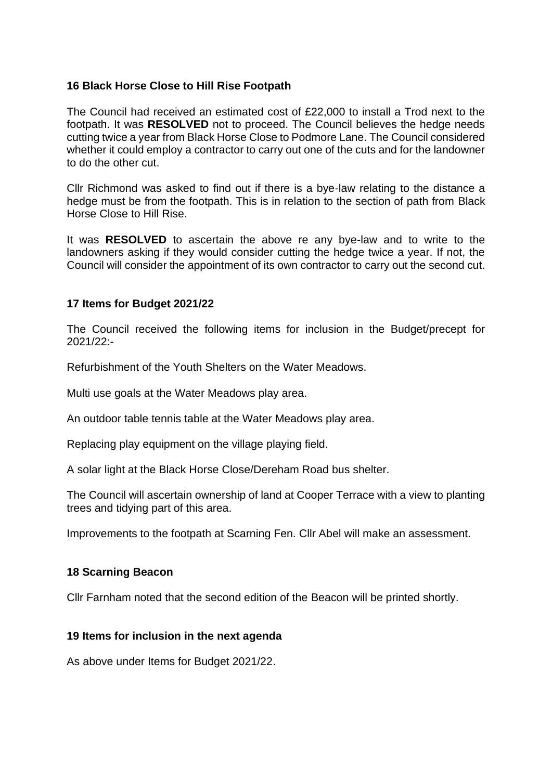## **16 Black Horse Close to Hill Rise Footpath**

The Council had received an estimated cost of £22,000 to install a Trod next to the footpath. It was **RESOLVED** not to proceed. The Council believes the hedge needs cutting twice a year from Black Horse Close to Podmore Lane. The Council considered whether it could employ a contractor to carry out one of the cuts and for the landowner to do the other cut.

Cllr Richmond was asked to find out if there is a bye-law relating to the distance a hedge must be from the footpath. This is in relation to the section of path from Black Horse Close to Hill Rise.

It was **RESOLVED** to ascertain the above re any bye-law and to write to the landowners asking if they would consider cutting the hedge twice a year. If not, the Council will consider the appointment of its own contractor to carry out the second cut.

#### **17 Items for Budget 2021/22**

The Council received the following items for inclusion in the Budget/precept for 2021/22:-

Refurbishment of the Youth Shelters on the Water Meadows.

Multi use goals at the Water Meadows play area.

An outdoor table tennis table at the Water Meadows play area.

Replacing play equipment on the village playing field.

A solar light at the Black Horse Close/Dereham Road bus shelter.

The Council will ascertain ownership of land at Cooper Terrace with a view to planting trees and tidying part of this area.

Improvements to the footpath at Scarning Fen. Cllr Abel will make an assessment.

#### **18 Scarning Beacon**

Cllr Farnham noted that the second edition of the Beacon will be printed shortly.

#### **19 Items for inclusion in the next agenda**

As above under Items for Budget 2021/22.